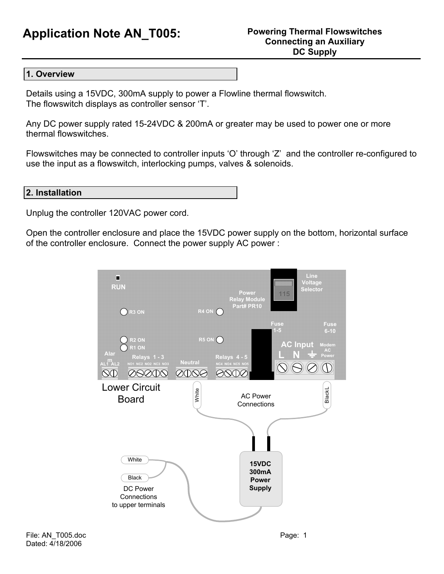# **Application Note AN\_T005: Powering Thermal Flowswitches**

#### **1. Overview**

Details using a 15VDC, 300mA supply to power a Flowline thermal flowswitch. The flowswitch displays as controller sensor 'T'.

Any DC power supply rated 15-24VDC & 200mA or greater may be used to power one or more thermal flowswitches.

Flowswitches may be connected to controller inputs 'O' through 'Z' and the controller re-configured to use the input as a flowswitch, interlocking pumps, valves & solenoids.

### **2. Installation**

Unplug the controller 120VAC power cord.

Open the controller enclosure and place the 15VDC power supply on the bottom, horizontal surface of the controller enclosure. Connect the power supply AC power :

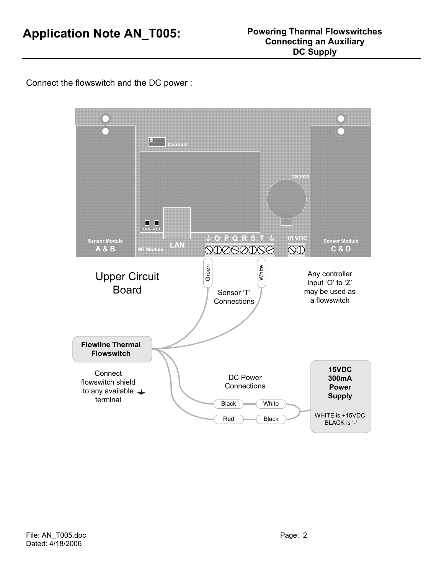Connect the flowswitch and the DC power :